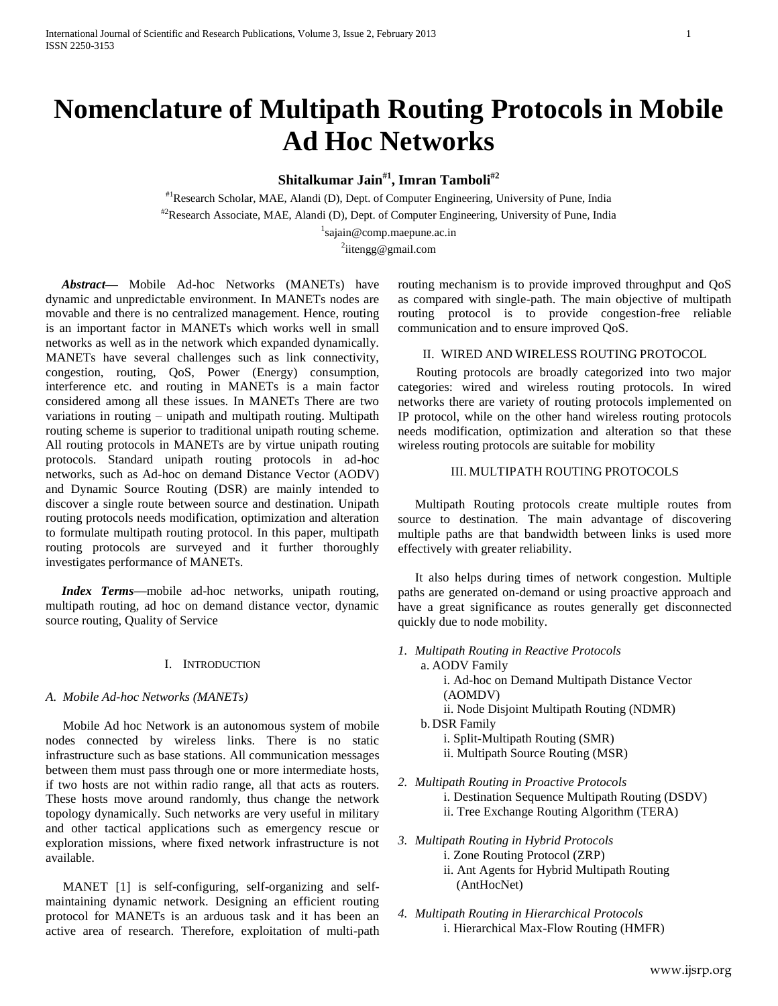# **Nomenclature of Multipath Routing Protocols in Mobile Ad Hoc Networks**

**Shitalkumar Jain#1, Imran Tamboli#2**

#1Research Scholar, MAE, Alandi (D), Dept. of Computer Engineering, University of Pune, India #2Research Associate, MAE, Alandi (D), Dept. of Computer Engineering, University of Pune, India

> <sup>1</sup>sajain@comp.maepune.ac.in <sup>2</sup>iitengg@gmail.com

 *Abstract***—** Mobile Ad-hoc Networks (MANETs) have dynamic and unpredictable environment. In MANETs nodes are movable and there is no centralized management. Hence, routing is an important factor in MANETs which works well in small networks as well as in the network which expanded dynamically. MANETs have several challenges such as link connectivity, congestion, routing, QoS, Power (Energy) consumption, interference etc. and routing in MANETs is a main factor considered among all these issues. In MANETs There are two variations in routing – unipath and multipath routing. Multipath routing scheme is superior to traditional unipath routing scheme. All routing protocols in MANETs are by virtue unipath routing protocols. Standard unipath routing protocols in ad-hoc networks, such as Ad-hoc on demand Distance Vector (AODV) and Dynamic Source Routing (DSR) are mainly intended to discover a single route between source and destination. Unipath routing protocols needs modification, optimization and alteration to formulate multipath routing protocol. In this paper, multipath routing protocols are surveyed and it further thoroughly investigates performance of MANETs.

 *Index Terms***—**mobile ad-hoc networks, unipath routing, multipath routing, ad hoc on demand distance vector, dynamic source routing, Quality of Service

# I. INTRODUCTION

# *A. Mobile Ad-hoc Networks (MANETs)*

Mobile Ad hoc Network is an autonomous system of mobile nodes connected by wireless links. There is no static infrastructure such as base stations. All communication messages between them must pass through one or more intermediate hosts, if two hosts are not within radio range, all that acts as routers. These hosts move around randomly, thus change the network topology dynamically. Such networks are very useful in military and other tactical applications such as emergency rescue or exploration missions, where fixed network infrastructure is not available.

MANET [1] is self-configuring, self-organizing and selfmaintaining dynamic network. Designing an efficient routing protocol for MANETs is an arduous task and it has been an active area of research. Therefore, exploitation of multi-path routing mechanism is to provide improved throughput and QoS as compared with single-path. The main objective of multipath routing protocol is to provide congestion-free reliable communication and to ensure improved QoS.

# II. WIRED AND WIRELESS ROUTING PROTOCOL

Routing protocols are broadly categorized into two major categories: wired and wireless routing protocols. In wired networks there are variety of routing protocols implemented on IP protocol, while on the other hand wireless routing protocols needs modification, optimization and alteration so that these wireless routing protocols are suitable for mobility

# III. MULTIPATH ROUTING PROTOCOLS

Multipath Routing protocols create multiple routes from source to destination. The main advantage of discovering multiple paths are that bandwidth between links is used more effectively with greater reliability.

It also helps during times of network congestion. Multiple paths are generated on-demand or using proactive approach and have a great significance as routes generally get disconnected quickly due to node mobility.

*1. Multipath Routing in Reactive Protocols*

a. AODV Family

i. Ad-hoc on Demand Multipath Distance Vector (AOMDV)

ii. Node Disjoint Multipath Routing (NDMR)

- b. DSR Family
	- i. Split-Multipath Routing (SMR)
	- ii. Multipath Source Routing (MSR)
- *2. Multipath Routing in Proactive Protocols*
	- i. Destination Sequence Multipath Routing (DSDV)
	- ii. Tree Exchange Routing Algorithm (TERA)
- *3. Multipath Routing in Hybrid Protocols*
	- i. Zone Routing Protocol (ZRP)
		- ii. Ant Agents for Hybrid Multipath Routing (AntHocNet)
- *4. Multipath Routing in Hierarchical Protocols* i. Hierarchical Max-Flow Routing (HMFR)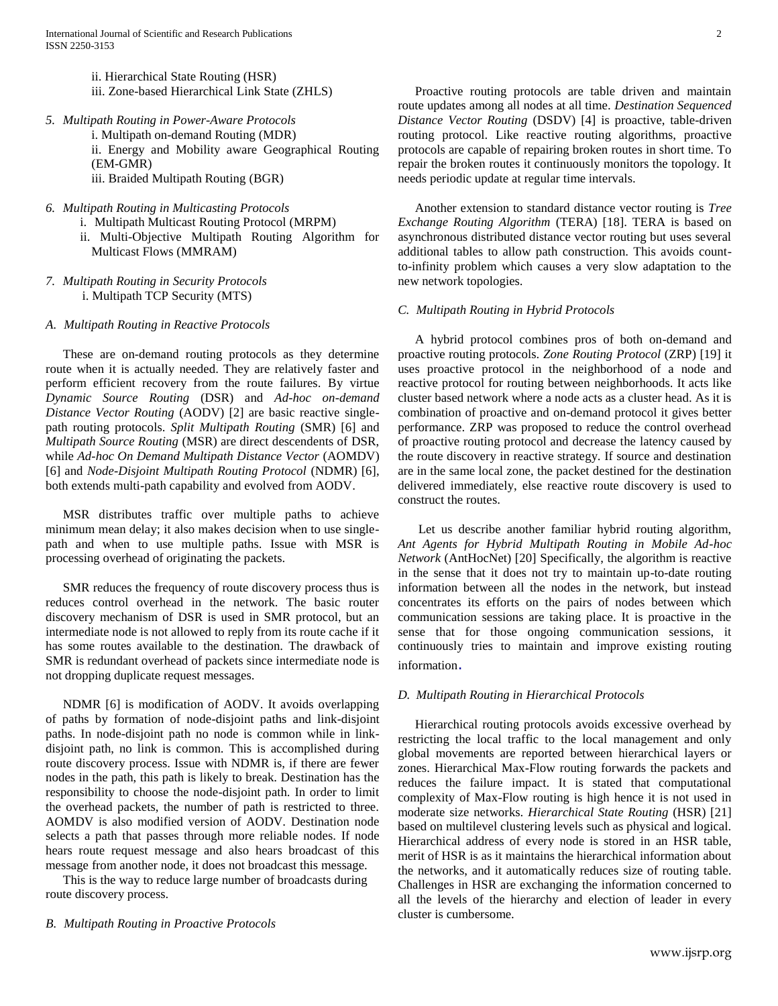- ii. Hierarchical State Routing (HSR)
- iii. Zone-based Hierarchical Link State (ZHLS)
- *5. Multipath Routing in Power-Aware Protocols*

i. Multipath on-demand Routing (MDR) ii. Energy and Mobility aware Geographical Routing (EM-GMR) iii. Braided Multipath Routing (BGR)

- *6. Multipath Routing in Multicasting Protocols*
	- i. Multipath Multicast Routing Protocol (MRPM) ii. Multi-Objective Multipath Routing Algorithm for Multicast Flows (MMRAM)
- *7. Multipath Routing in Security Protocols* i. Multipath TCP Security (MTS)

*A. Multipath Routing in Reactive Protocols*

These are on-demand routing protocols as they determine route when it is actually needed. They are relatively faster and perform efficient recovery from the route failures. By virtue *Dynamic Source Routing* (DSR) and *Ad-hoc on-demand Distance Vector Routing* (AODV) [2] are basic reactive singlepath routing protocols. *Split Multipath Routing* (SMR) [6] and *Multipath Source Routing* (MSR) are direct descendents of DSR, while *Ad-hoc On Demand Multipath Distance Vector* (AOMDV) [6] and *Node-Disjoint Multipath Routing Protocol* (NDMR) [6], both extends multi-path capability and evolved from AODV.

MSR distributes traffic over multiple paths to achieve minimum mean delay; it also makes decision when to use singlepath and when to use multiple paths. Issue with MSR is processing overhead of originating the packets.

SMR reduces the frequency of route discovery process thus is reduces control overhead in the network. The basic router discovery mechanism of DSR is used in SMR protocol, but an intermediate node is not allowed to reply from its route cache if it has some routes available to the destination. The drawback of SMR is redundant overhead of packets since intermediate node is not dropping duplicate request messages.

NDMR [6] is modification of AODV. It avoids overlapping of paths by formation of node-disjoint paths and link-disjoint paths. In node-disjoint path no node is common while in linkdisjoint path, no link is common. This is accomplished during route discovery process. Issue with NDMR is, if there are fewer nodes in the path, this path is likely to break. Destination has the responsibility to choose the node-disjoint path. In order to limit the overhead packets, the number of path is restricted to three. AOMDV is also modified version of AODV. Destination node selects a path that passes through more reliable nodes. If node hears route request message and also hears broadcast of this message from another node, it does not broadcast this message.

This is the way to reduce large number of broadcasts during route discovery process.

# *B. Multipath Routing in Proactive Protocols*

Proactive routing protocols are table driven and maintain route updates among all nodes at all time. *Destination Sequenced Distance Vector Routing* (DSDV) [4] is proactive, table-driven routing protocol. Like reactive routing algorithms, proactive protocols are capable of repairing broken routes in short time. To repair the broken routes it continuously monitors the topology. It needs periodic update at regular time intervals.

Another extension to standard distance vector routing is *Tree Exchange Routing Algorithm* (TERA) [18]. TERA is based on asynchronous distributed distance vector routing but uses several additional tables to allow path construction. This avoids countto-infinity problem which causes a very slow adaptation to the new network topologies.

# *C. Multipath Routing in Hybrid Protocols*

A hybrid protocol combines pros of both on-demand and proactive routing protocols. *Zone Routing Protocol* (ZRP) [19] it uses proactive protocol in the neighborhood of a node and reactive protocol for routing between neighborhoods. It acts like cluster based network where a node acts as a cluster head. As it is combination of proactive and on-demand protocol it gives better performance. ZRP was proposed to reduce the control overhead of proactive routing protocol and decrease the latency caused by the route discovery in reactive strategy. If source and destination are in the same local zone, the packet destined for the destination delivered immediately, else reactive route discovery is used to construct the routes.

Let us describe another familiar hybrid routing algorithm, *Ant Agents for Hybrid Multipath Routing in Mobile Ad-hoc Network* (AntHocNet) [20] Specifically, the algorithm is reactive in the sense that it does not try to maintain up-to-date routing information between all the nodes in the network, but instead concentrates its efforts on the pairs of nodes between which communication sessions are taking place. It is proactive in the sense that for those ongoing communication sessions, it continuously tries to maintain and improve existing routing information.

# *D. Multipath Routing in Hierarchical Protocols*

Hierarchical routing protocols avoids excessive overhead by restricting the local traffic to the local management and only global movements are reported between hierarchical layers or zones. Hierarchical Max-Flow routing forwards the packets and reduces the failure impact. It is stated that computational complexity of Max-Flow routing is high hence it is not used in moderate size networks. *Hierarchical State Routing* (HSR) [21] based on multilevel clustering levels such as physical and logical. Hierarchical address of every node is stored in an HSR table, merit of HSR is as it maintains the hierarchical information about the networks, and it automatically reduces size of routing table. Challenges in HSR are exchanging the information concerned to all the levels of the hierarchy and election of leader in every cluster is cumbersome.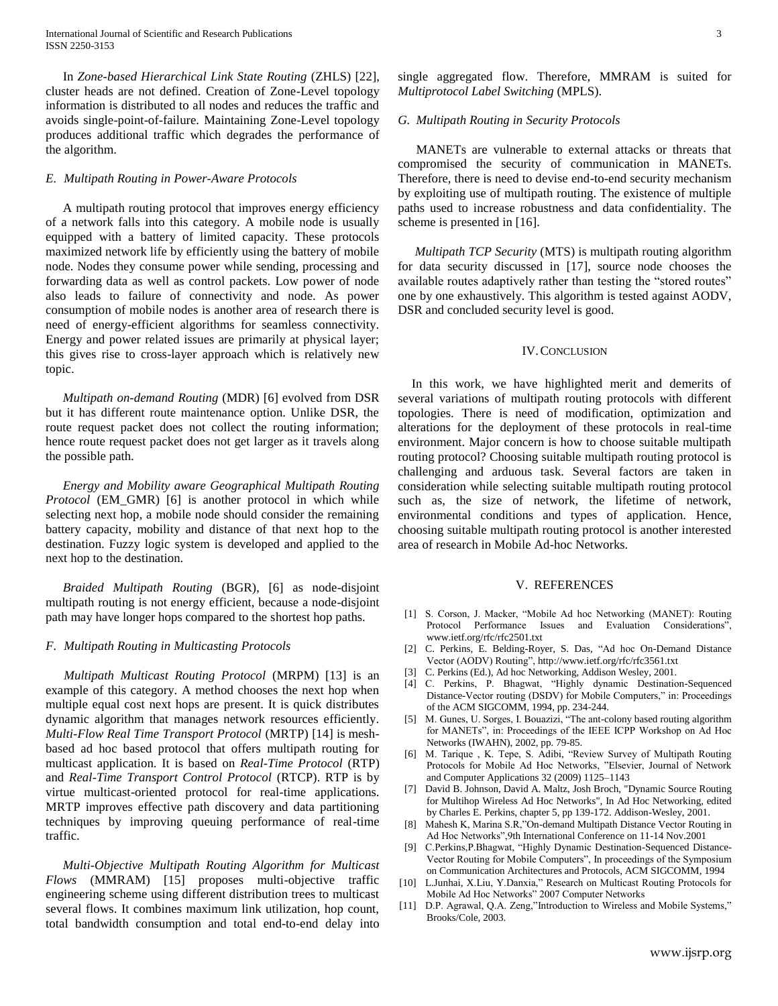In *Zone-based Hierarchical Link State Routing* (ZHLS) [22], cluster heads are not defined. Creation of Zone-Level topology information is distributed to all nodes and reduces the traffic and avoids single-point-of-failure. Maintaining Zone-Level topology produces additional traffic which degrades the performance of the algorithm.

## *E. Multipath Routing in Power-Aware Protocols*

A multipath routing protocol that improves energy efficiency of a network falls into this category. A mobile node is usually equipped with a battery of limited capacity. These protocols maximized network life by efficiently using the battery of mobile node. Nodes they consume power while sending, processing and forwarding data as well as control packets. Low power of node also leads to failure of connectivity and node. As power consumption of mobile nodes is another area of research there is need of energy-efficient algorithms for seamless connectivity. Energy and power related issues are primarily at physical layer; this gives rise to cross-layer approach which is relatively new topic.

*Multipath on-demand Routing* (MDR) [6] evolved from DSR but it has different route maintenance option. Unlike DSR, the route request packet does not collect the routing information; hence route request packet does not get larger as it travels along the possible path.

*Energy and Mobility aware Geographical Multipath Routing Protocol* (EM\_GMR) [6] is another protocol in which while selecting next hop, a mobile node should consider the remaining battery capacity, mobility and distance of that next hop to the destination. Fuzzy logic system is developed and applied to the next hop to the destination.

*Braided Multipath Routing* (BGR), [6] as node-disjoint multipath routing is not energy efficient, because a node-disjoint path may have longer hops compared to the shortest hop paths.

## *F. Multipath Routing in Multicasting Protocols*

*Multipath Multicast Routing Protocol* (MRPM) [13] is an example of this category. A method chooses the next hop when multiple equal cost next hops are present. It is quick distributes dynamic algorithm that manages network resources efficiently. *Multi-Flow Real Time Transport Protocol* (MRTP) [14] is meshbased ad hoc based protocol that offers multipath routing for multicast application. It is based on *Real-Time Protocol* (RTP) and *Real-Time Transport Control Protocol* (RTCP). RTP is by virtue multicast-oriented protocol for real-time applications. MRTP improves effective path discovery and data partitioning techniques by improving queuing performance of real-time traffic.

*Multi-Objective Multipath Routing Algorithm for Multicast Flows* (MMRAM) [15] proposes multi-objective traffic engineering scheme using different distribution trees to multicast several flows. It combines maximum link utilization, hop count, total bandwidth consumption and total end-to-end delay into single aggregated flow. Therefore, MMRAM is suited for *Multiprotocol Label Switching* (MPLS).

## *G. Multipath Routing in Security Protocols*

MANETs are vulnerable to external attacks or threats that compromised the security of communication in MANETs. Therefore, there is need to devise end-to-end security mechanism by exploiting use of multipath routing. The existence of multiple paths used to increase robustness and data confidentiality. The scheme is presented in [16].

*Multipath TCP Security* (MTS) is multipath routing algorithm for data security discussed in [17], source node chooses the available routes adaptively rather than testing the "stored routes" one by one exhaustively. This algorithm is tested against AODV, DSR and concluded security level is good.

#### IV.CONCLUSION

In this work, we have highlighted merit and demerits of several variations of multipath routing protocols with different topologies. There is need of modification, optimization and alterations for the deployment of these protocols in real-time environment. Major concern is how to choose suitable multipath routing protocol? Choosing suitable multipath routing protocol is challenging and arduous task. Several factors are taken in consideration while selecting suitable multipath routing protocol such as, the size of network, the lifetime of network, environmental conditions and types of application. Hence, choosing suitable multipath routing protocol is another interested area of research in Mobile Ad-hoc Networks.

## V. REFERENCES

- [1] S. Corson, J. Macker, "Mobile Ad hoc Networking (MANET): Routing Protocol Performance Issues and Evaluation Considerations", [www.ietf.org/rfc/rfc2501.txt](http://www.ietf.org/rfc/rfc2501.txt)
- [2] C. Perkins, E. Belding-Royer, S. Das, "Ad hoc On-Demand Distance Vector (AODV) Routing"[, http://www.ietf.org/rfc/rfc3561.txt](http://www.ietf.org/rfc/rfc3561.txt)
- [3] C. Perkins (Ed.), Ad hoc Networking, Addison Wesley, 2001.
- [4] C. Perkins, P. Bhagwat, "Highly dynamic Destination-Sequenced Distance-Vector routing (DSDV) for Mobile Computers," in: Proceedings of the ACM SIGCOMM, 1994, pp. 234-244.
- [5] M. Gunes, U. Sorges, I. Bouazizi, "The ant-colony based routing algorithm for MANETs", in: Proceedings of the IEEE ICPP Workshop on Ad Hoc Networks (IWAHN), 2002, pp. 79-85.
- [6] M. Tarique , K. Tepe, S. Adibi, "Review Survey of Multipath Routing Protocols for Mobile Ad Hoc Networks, "Elsevier, Journal of Network and Computer Applications 32 (2009) 1125–1143
- [7] David B. Johnson, David A. Maltz, Josh Broch, "Dynamic Source Routing for Multihop Wireless Ad Hoc Networks", In Ad Hoc Networking, edited by Charles E. Perkins, chapter 5, pp 139-172. Addison-Wesley, 2001.
- [8] Mahesh K, Marina S.R,"On-demand Multipath Distance Vector Routing in Ad Hoc Networks",9th International Conference on 11-14 Nov.2001
- [9] C.Perkins,P.Bhagwat, "Highly Dynamic Destination-Sequenced Distance-Vector Routing for Mobile Computers", In proceedings of the Symposium on Communication Architectures and Protocols, ACM SIGCOMM, 1994
- [10] L.Junhai, X.Liu, Y.Danxia," Research on Multicast Routing Protocols for Mobile Ad Hoc Networks" 2007 Computer Networks
- [11] D.P. Agrawal, Q.A. Zeng,"Introduction to Wireless and Mobile Systems," Brooks/Cole, 2003.